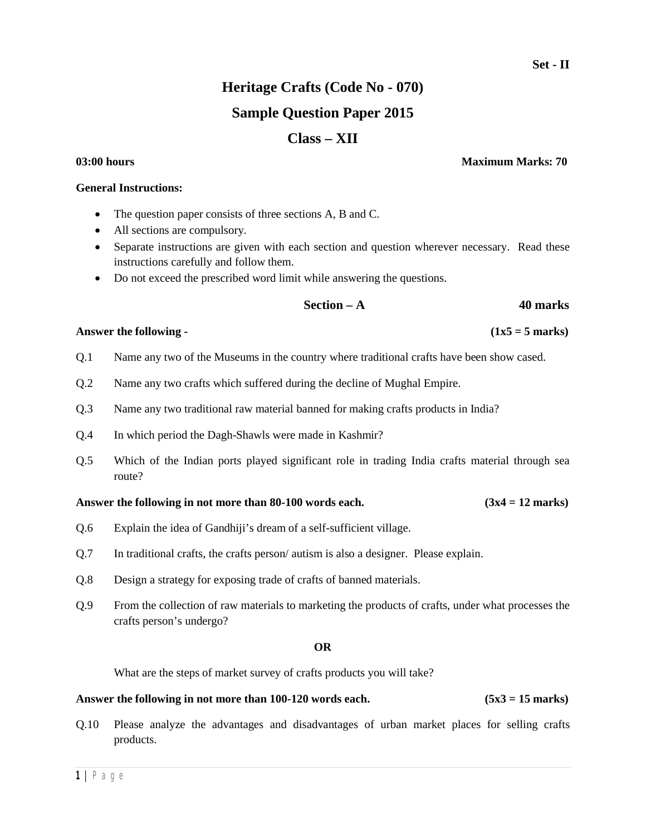# **Heritage Crafts (Code No - 070) Sample Question Paper 2015 Class – XII**

## **03:00 hours Maximum Marks: 70**

### **General Instructions:**

- The question paper consists of three sections A, B and C.
- All sections are compulsory.
- Separate instructions are given with each section and question wherever necessary. Read these instructions carefully and follow them.
- Do not exceed the prescribed word limit while answering the questions.

### **Section – A 40 marks**

### **Answer the following - (1x5 = 5 marks)**

- Q.1 Name any two of the Museums in the country where traditional crafts have been show cased.
- Q.2 Name any two crafts which suffered during the decline of Mughal Empire.
- Q.3 Name any two traditional raw material banned for making crafts products in India?
- Q.4 In which period the Dagh-Shawls were made in Kashmir?
- Q.5 Which of the Indian ports played significant role in trading India crafts material through sea route?

### **Answer the following in not more than 80-100 words each. (3x4 = 12 marks)**

- Q.6 Explain the idea of Gandhiji's dream of a self-sufficient village.
- Q.7 In traditional crafts, the crafts person/ autism is also a designer. Please explain.
- Q.8 Design a strategy for exposing trade of crafts of banned materials.
- Q.9 From the collection of raw materials to marketing the products of crafts, under what processes the crafts person's undergo?

#### **OR**

What are the steps of market survey of crafts products you will take?

#### **Answer the following in not more than 100-120 words each. (5x3 = 15 marks)**

Q.10 Please analyze the advantages and disadvantages of urban market places for selling crafts products.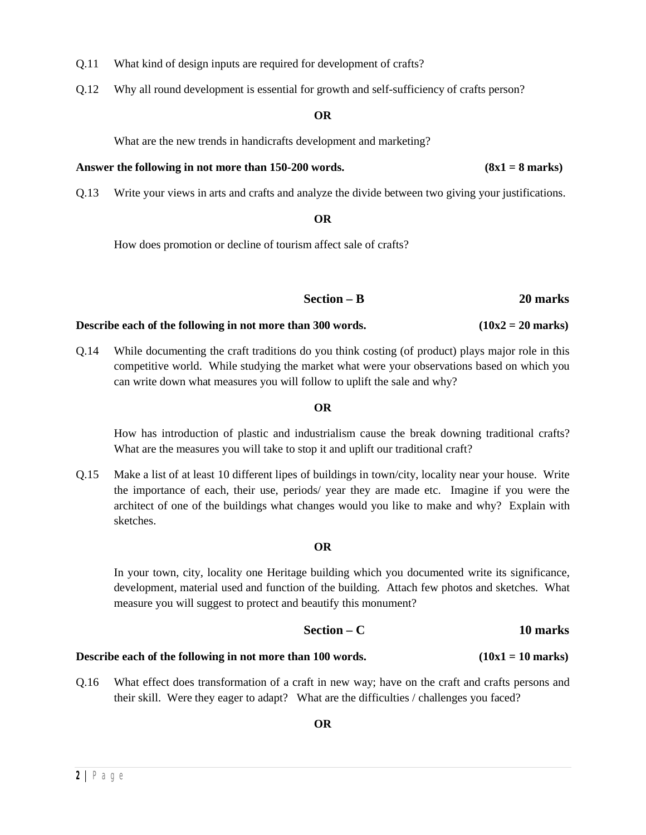- Q.11 What kind of design inputs are required for development of crafts?
- Q.12 Why all round development is essential for growth and self-sufficiency of crafts person?

#### **OR**

What are the new trends in handicrafts development and marketing?

#### **Answer the following in not more than 150-200 words. (8x1 = 8 marks)**

Q.13 Write your views in arts and crafts and analyze the divide between two giving your justifications.

#### **OR**

How does promotion or decline of tourism affect sale of crafts?

**Section – B 20 marks**

#### **Describe each of the following in not more than 300 words.**  $(10x2 = 20 \text{ marks})$

Q.14 While documenting the craft traditions do you think costing (of product) plays major role in this competitive world. While studying the market what were your observations based on which you can write down what measures you will follow to uplift the sale and why?

### **OR**

How has introduction of plastic and industrialism cause the break downing traditional crafts? What are the measures you will take to stop it and uplift our traditional craft?

Q.15 Make a list of at least 10 different lipes of buildings in town/city, locality near your house. Write the importance of each, their use, periods/ year they are made etc. Imagine if you were the architect of one of the buildings what changes would you like to make and why? Explain with sketches.

#### **OR**

In your town, city, locality one Heritage building which you documented write its significance, development, material used and function of the building. Attach few photos and sketches. What measure you will suggest to protect and beautify this monument?

### **Section – C 10 marks**

### **Describe each of the following in not more than 100 words.**  $(10x1 = 10 \text{ marks})$

Q.16 What effect does transformation of a craft in new way; have on the craft and crafts persons and their skill. Were they eager to adapt? What are the difficulties / challenges you faced?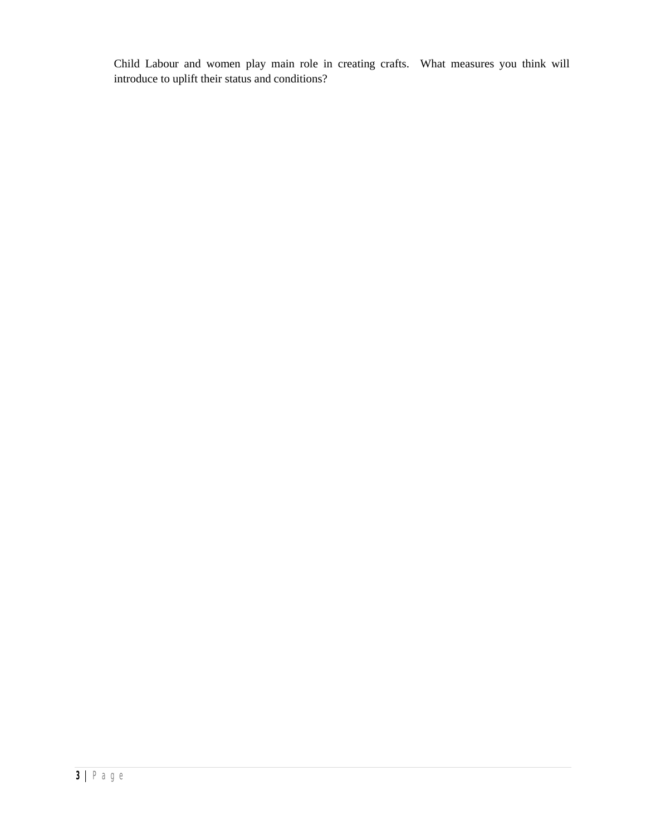Child Labour and women play main role in creating crafts. What measures you think will introduce to uplift their status and conditions?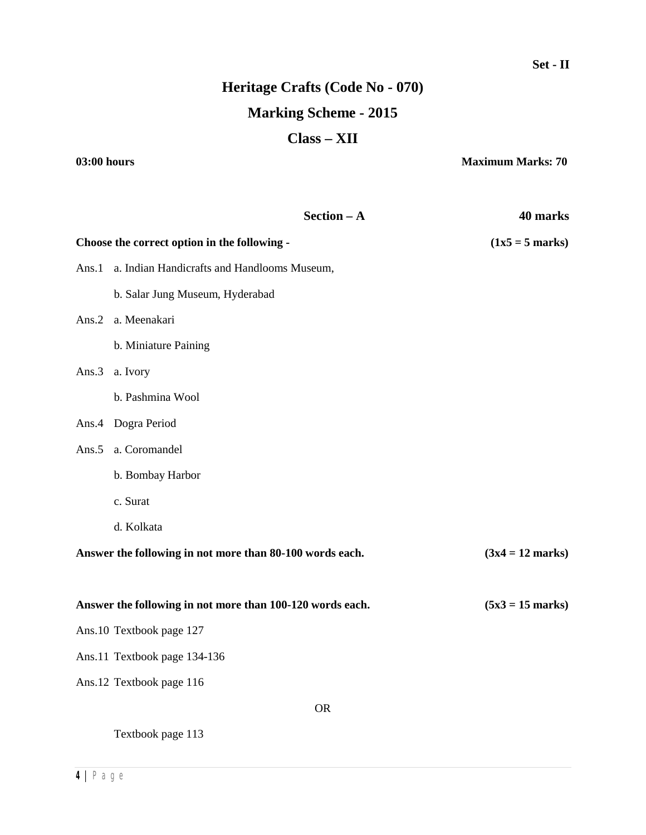# **Heritage Crafts (Code No - 070) Marking Scheme - 2015 Class – XII**

**03:00 hours Maximum Marks: 70**

|                                                           | $Section - A$                               |                            | 40 marks                  |
|-----------------------------------------------------------|---------------------------------------------|----------------------------|---------------------------|
| Choose the correct option in the following -              |                                             |                            | $(1x5 = 5 \text{ marks})$ |
| Ans.1                                                     | a. Indian Handicrafts and Handlooms Museum, |                            |                           |
|                                                           | b. Salar Jung Museum, Hyderabad             |                            |                           |
| Ans. $2$                                                  | a. Meenakari                                |                            |                           |
|                                                           | b. Miniature Paining                        |                            |                           |
| Ans.3                                                     | a. Ivory                                    |                            |                           |
|                                                           | b. Pashmina Wool                            |                            |                           |
|                                                           | Ans.4 Dogra Period                          |                            |                           |
| Ans.5                                                     | a. Coromandel                               |                            |                           |
|                                                           | b. Bombay Harbor                            |                            |                           |
|                                                           | c. Surat                                    |                            |                           |
|                                                           | d. Kolkata                                  |                            |                           |
| Answer the following in not more than 80-100 words each.  |                                             | $(3x4 = 12 \text{ marks})$ |                           |
|                                                           |                                             |                            |                           |
| Answer the following in not more than 100-120 words each. |                                             | $(5x3 = 15 \text{ marks})$ |                           |
| Ans.10 Textbook page 127                                  |                                             |                            |                           |
| Ans.11 Textbook page 134-136                              |                                             |                            |                           |
|                                                           | Ans.12 Textbook page 116                    |                            |                           |
| <b>OR</b>                                                 |                                             |                            |                           |
|                                                           | Textbook page 113                           |                            |                           |